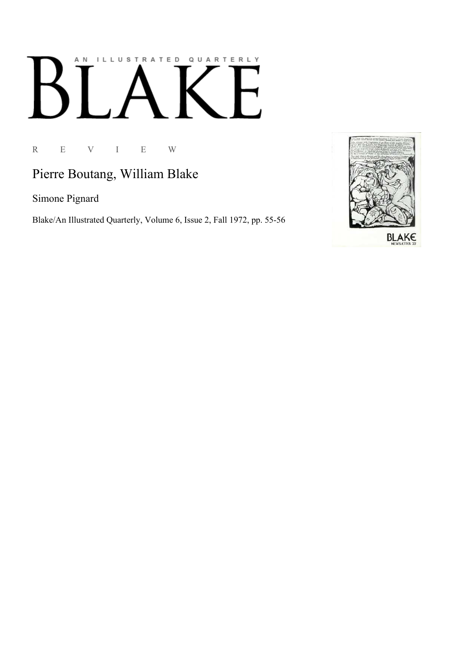## AN ILLUSTRATED QUARTERLY  $\boldsymbol{\mathsf{B}}$

R E V I E W

## Pierre Boutang, William Blake

Simone Pignard

Blake/An Illustrated Quarterly, Volume 6, Issue 2, Fall 1972, pp. 55-56

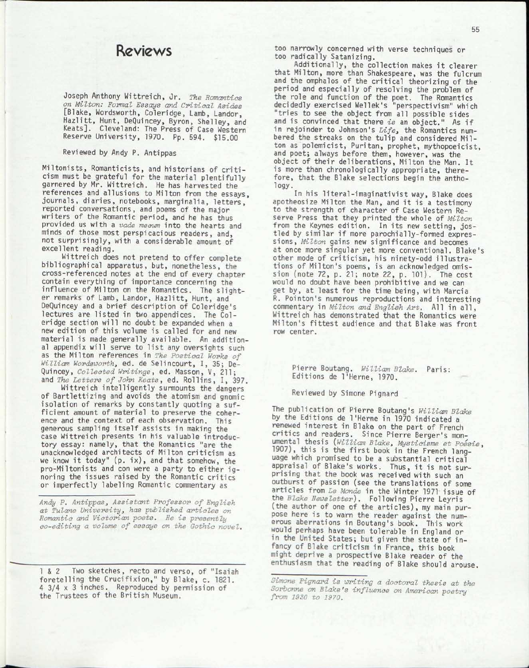## Reviews

Joseph Anthony Wittreich, Jr. *The Romantics on Milton: Formal Essays and Critical Asides*  [Blake, Wordsworth, Coleridge, Lamb, Landor, Hazlitt, Hunt, DeQuincey, Byron, Shelley, and Keats]. Cleveland: The Press of Case Western Reserve University, 1970. Pp. 594. \$15.00

## Reviewed by Andy P. Antippas

Miltonists , Romanticists, and historians of criti cism must be grateful for the material plentifully garnered by Mr. Wittreich. He has harvested the references and allusions to Milton from the essays, journals, diaries , notebooks, marginalia, letters , reported conversations, and poems of the major writers of the Romantic period, and he has thus provided us with a *vade mecvm* into the hearts and minds of those most perspicacious readers, and, not surprisingly , with a considerable amount of excellent reading.

Wittreich does not pretend to offer complete bibliographical apparatus, but, nonetheless, the cross-referenced notes at the end of *e\/ery* chapter contain everything of importance concerning the influence of Milton on the Romantics. The slighter remarks of Lamb, Landor, Hazlitt, Hunt, and DeQuincey and a brief description of Coleridge's lectures are listed in two appendices. The Coleridge section will no doubt be expanded when a new edition of this volume is called for and new material is made generally available. An additional appendix will serve to list any oversights such as the Milton references in *The Poetical Works of William Wordsworth*, ed. de Selincourt, I, 35; De-Quincey, *Collected Writings* , ed. Masson, V, 211; and *The Letters of John Keats*, ed. Rollins, I, 397.

Wittreich intelligently surmounts the dangers of Bartlettizing and avoids the atomism and gnomic isolation of remarks by constantly quoting a sufficient amount of material to preserve the coherence and the context of each observation. This generous sampling itself assists in making the case Wittreich presents in his valuable introductory essay: namely, that the Romantics "are the unacknowledged architects of Milton criticism as we know it today"  $(p. ix)$ , and that somehow, the pro-Miltonists and con were a party to either ignoring the issues raised by the Romantic critics or imperfectly labeling Romantic commentary as

*Andy P. Antippas, Assistant Professor of English at Tulane University, has published articles on Romantic and Victorian poets. He is presently co-editing a volume of essays on the Gothic novel.* 

1 & 2 Two sketches, recto and verso, of "Isaiah foretelling the Crucifixion," by Blake, c. 1821. 4 3/4 x 3 inches. Reproduced by permission of the Trustees of the British Museum.

too narrowly concerned with verse techniques or too radically Satanizing.

Additionally, the collection makes it clearer that Milton, more than Shakespeare, was the fulcrum and the omphalos of the critical theorizing of the period and especially of resolving the problem of the role and function of the poet. The Romantics decidedly exercised Wellek's "perspectivism" which "tries to see the object from all possible sides and is convinced that there is an object." As if in rejoinder to Johnson's *Life*, the Romantics numbered the streaks on the tulip and considered Milton as polemicist, Puritan, prophet, mythopoeicist, and poet; always before them, however, was the object of their deliberations, Milton the Man. It is more than chronologically appropriate, therefore, that the Blake selections begin the anthology.

In his literal-imaginativist way, Blake does apotheosize Milton the Man, and it is a testimony to the strength of character of Case Western Reserve Press that they printed the whole of *Milton*  from the Keynes edition. In its new setting, jostled by similar if more parochially-formed expressions, *Milton* gains new significance and becomes at once more singular yet more conventional. Blake's other mode of criticism, his ninety-odd illustrations of Milton's poems, is an acknowledged omission (note 72, p. 21; note 22, p. 101). The cost would no doubt have been prohibitive and we can get by, at least for the time being, with Marcia R. Pointon's numerous reproductions and interesting commentary in Milton and English Art. All in all, Wittreich has demonstrated that the Romantics were Milton's fittest audience and that Blake was front row center.

Pierre Boutang. *William Blake.* Paris: Editions de l'Herne, 1970.

Reviewed by Simone Pignard

The publication of Pierre Boutang's *William Blake*  by the Editions de l'Herne in 1970 indicated a renewed interest in Blake on the part of French critics and readers. Since Pierre Berger's monumental thesis *{William Blake, Mysticisme et Poesie*, 1907), this is the first book in the French language which promised to be a substantial critical appraisal of Blake's works. Thus, it is not surprising that the book was received with such an outburst of passion (see the translations of some articles from *Le Monde* in the Winter 1971 issue of the *Blake Newsletter).* Following Pierre Leyris (the author of one of the articles), my main purpose here is to warn the reader against the numerous aberrations in Boutang's book. This work would perhaps have been tolerable in England or in the United States; but given the state of infancy of Blake criticism in France, this book might deprive a prospective Blake reader of the enthusiasm that the reading of Blake should arouse.

*Simone Pignard is writing a doctoral thesis at the Sorbonne on Blake 's influence on American poetry from 1930 to 1970.*